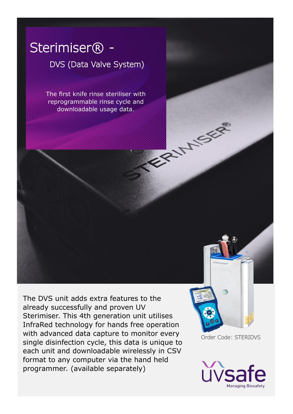# Sterimiser<sup>®</sup> -

## DVS (Data Valve System)

The first knife rinse steriliser with reprogrammable rinse cycle and downloadable usage data.

The DVS unit adds extra features to the already successfully and proven UV Sterimiser. This 4th generation unit utilises InfraRed technology for hands free operation with advanced data capture to monitor every single disinfection cycle, this data is unique to each unit and downloadable wirelessly in CSV format to any computer via the hand held programmer. (available separately)

Order Code: STERIDVS

**EXHAUSE** 

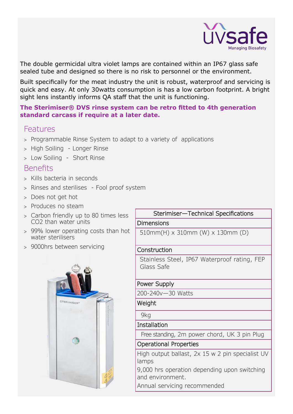

The double germicidal ultra violet lamps are contained within an IP67 glass safe sealed tube and designed so there is no risk to personnel or the environment.

Built specifically for the meat industry the unit is robust, waterproof and servicing is quick and easy. At only 30watts consumption is has a low carbon footprint. A bright sight lens instantly informs QA staff that the unit is functioning.

#### **The Sterimiser® DVS rinse system can be retro fitted to 4th generation standard carcass if require at a later date.**

### Features

- Programmable Rinse System to adapt to a variety of applications
- > High Soiling Longer Rinse
- Low Soiling Short Rinse

### Benefits

- > Kills bacteria in seconds
- > Rinses and sterilises Fool proof system
- > Does not get hot
- > Produces no steam
- Carbon friendly up to 80 times less CO2 than water units
- 99% lower operating costs than hot water sterilisers
- 9000hrs between servicing



## Sterimiser—Technical Specifications

#### Dimensions

510mm(H) x 310mm (W) x 130mm (D)

#### Construction

Stainless Steel, IP67 Waterproof rating, FEP Glass Safe

#### Power Supply

200-240v—30 Watts

**Weight** 

9kg

Installation

Free standing, 2m power chord, UK 3 pin Plug

#### Operational Properties

High output ballast, 2x 15 w 2 pin specialist UV lamps

9,000 hrs operation depending upon switching and environment.

Annual servicing recommended